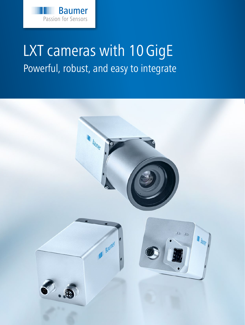

# LXT cameras with 10 GigE Powerful, robust, and easy to integrate

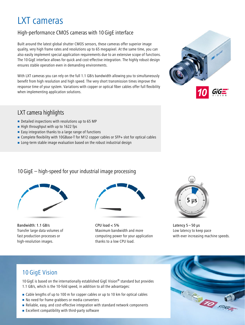# LXT cameras

# High-performance CMOS cameras with 10GigE interface

Built around the latest global shutter CMOS sensors, these cameras offer superior image quality, very high frame rates and resolutions up to 65 megapixel. At the same time, you can also easily implement special application requirements due to an extensive scope of functions. The 10 GigE interface allows for quick and cost-effective integration. The highly robust design ensures stable operation even in demanding environments.

With LXT cameras you can rely on the full 1.1 GB/s bandwidth allowing you to simultaneously benefit from high resolution and high speed. The very short transmission times improve the response time of your system. Variations with copper or optical fiber cables offer full flexibility when implementing application solutions.



# LXT camera highlights

- Detailed inspections with resolutions up to 65 MP
- $\blacksquare$  High throughput with up to 1622 fps
- $\blacksquare$  Easy integration thanks to a large range of functions
- Complete flexibility with 10GBase-T for M12 copper cables or SFP+ slot for optical cables
- **EXECTE 1** Long-term stable image evaluation based on the robust industrial design

### 10GigE – high-speed for your industrial image processing



Bandwidth: 1.1 GB/s Transfer large data volumes of fast production processes or high-resolution images.



CPU load < 5% Maximum bandwidth and more computing power for your application thanks to a low CPU load.



Latency  $5 - 50$  us Low latency to keep pace with ever increasing machine speeds.

# 10 GigE Vision

10 GigE is based on the internationally established GigE Vision® standard but provides 1.1 GB/s, which is the 10-fold speed, in addition to all the advantages:

- Cable lengths of up to 100 m for copper cables or up to 10 km for optical cables
- No need for frame grabbers or media converters
- Reliable, easy, and cost-effective integration with standard network components
- **Excellent compatibility with third-party software**

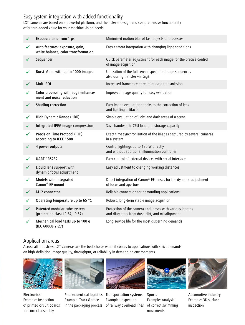## Easy system integration with added functionality

LXT cameras are based on a powerful platform, and their clever design and comprehensive functionality offer true added value for your machine vision needs.

| $\checkmark$ | Exposure time from 1 µs                                               | Minimized motion blur of fast objects or processes                                                          |
|--------------|-----------------------------------------------------------------------|-------------------------------------------------------------------------------------------------------------|
| $\checkmark$ | Auto features: exposure, gain,<br>white balance, color transformation | Easy camera integration with changing light conditions                                                      |
| $\checkmark$ | Sequencer                                                             | Quick parameter adjustment for each image for the precise control<br>of image acqisition                    |
| $\checkmark$ | Burst Mode with up to 1000 images                                     | Utilization of the full sensor speed for image sequences<br>also during transfer via GigE                   |
| $\checkmark$ | Multi ROI                                                             | Increased frame rate or relief of data transmission                                                         |
| ✓            | Color processing with edge enhance-<br>ment and noise reduction       | Improved image quality for easy evaluation                                                                  |
| $\checkmark$ | Shading correction                                                    | Easy image evaluation thanks to the correction of lens<br>and lighting artifacts                            |
| $\checkmark$ | High Dynamic Range (HDR)                                              | Simple evaluation of light and dark areas of a scene                                                        |
| $\checkmark$ | Integrated JPEG image compression                                     | Save bandwidth, CPU load and storage capacity                                                               |
| ✓            | Precision Time Protocol (PTP)<br>according to IEEE 1588               | Exact time synchronization of the images captured by several cameras<br>in a system                         |
| $\checkmark$ | 4 power outputs                                                       | Control lightings up to 120 W directly<br>and without additional illumination controller                    |
| ✓            | <b>UART / RS232</b>                                                   | Easy control of external devices with serial interface                                                      |
| $\checkmark$ | Liquid lens support with<br>dynamic focus adjustment                  | Easy adjustment to changing working distances                                                               |
| $\checkmark$ | Models with integrated<br>Canon <sup>®</sup> EF mount                 | Direct integration of Canon® EF lenses for the dynamic adjustment<br>of focus and aperture                  |
| $\checkmark$ | M12 connector                                                         | Reliable connection for demanding applications                                                              |
| $\checkmark$ | Operating temperature up to 65 °C                                     | Robust, long-term stable image acqisition                                                                   |
| $\checkmark$ | Patented modular tube system<br>(protection class IP 54, IP 67)       | Protection of the camera and lenses with various lengths<br>and diameters from dust, dirt, and misalignment |
| $\checkmark$ | Mechanical load tests up to 100 g<br>(IEC 60068-2-27)                 | Long service life for the most discerning demands                                                           |

#### Application areas

Across all industries, LXT cameras are the best choice when it comes to applications with strict demands on high-definition image quality, throughput, or reliability in demanding environments.



Electronics Example: Inspection of printed circuit boards for correct assembly



Pharmaceutical logistics Transportation systems Example: Track & trace in the packaging process of railway overhead lines



Example: Inspection



Sports Example: Analysis of correct swimming movements



Automotive industry Example: 3D surface inspection